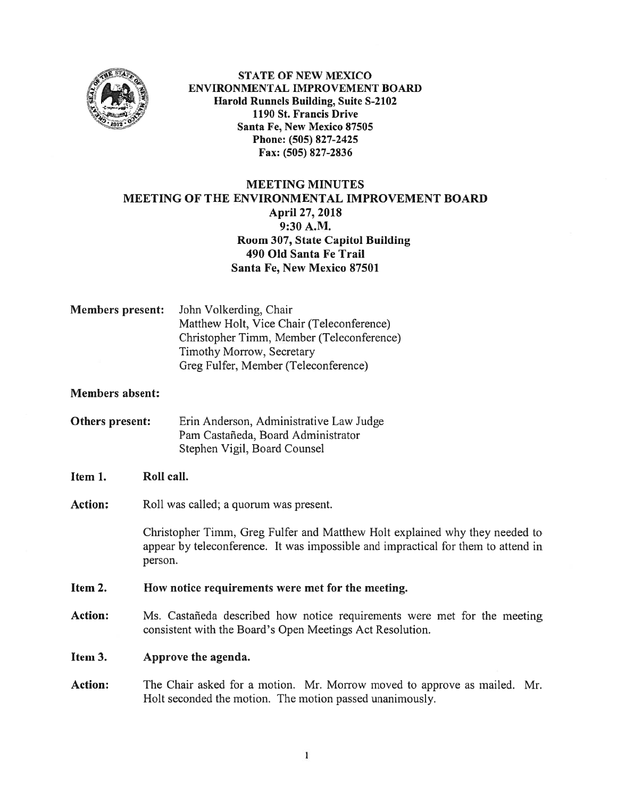

STATE OF NEW MEXICO ENVIRONMENTAL IMPROVEMENT BOARD Harold Runnels Building, Suite S-2102 1190 St. Francis Drive Santa Fe, New Mexico \$7505 Phone: (505) 827-2425 Fax: (505) 827-2836

# MEETING MINUTES MEETING OF THE ENVIRONMENTAL IMPROVEMENT BOARD April 27, 2018 9:30 A.M. Room 307, State Capitol Building 490 Old Santa Fe Trail Santa Fe, New Mexico \$7501

Members present: John Volkerding, Chair Matthew Holt, Vice Chair (Teleconference) Christopher Timm, Member (Teleconference) Timothy Morrow, Secretary Greg Fulfer, Member (Teleconference)

### Members absent:

Others present: Erin Anderson, Administrative Law Judge Pam Castañeda, Board Administrator Stephen Vigil, Board Counsel

#### Item 1. Roll call.

Action: Roll was called; a quorum was present.

Christopher Timrn, Greg fulfer and Matthew Holt explained why they needed to appear by teleconference. It was impossible and impractical for them to attend in person.

#### Item 2. How notice requirements were met for the meeting.

Action: Ms. Castañeda described how notice requirements were met for the meeting consistent with the Board's Open Meetings Act Resolution.

Item 3. Approve the agenda.

Action: The Chair asked for <sup>a</sup> motion. Mr. Morrow moved to approve as mailed. Mr. Holt seconded the motion. The motion passed unanimously.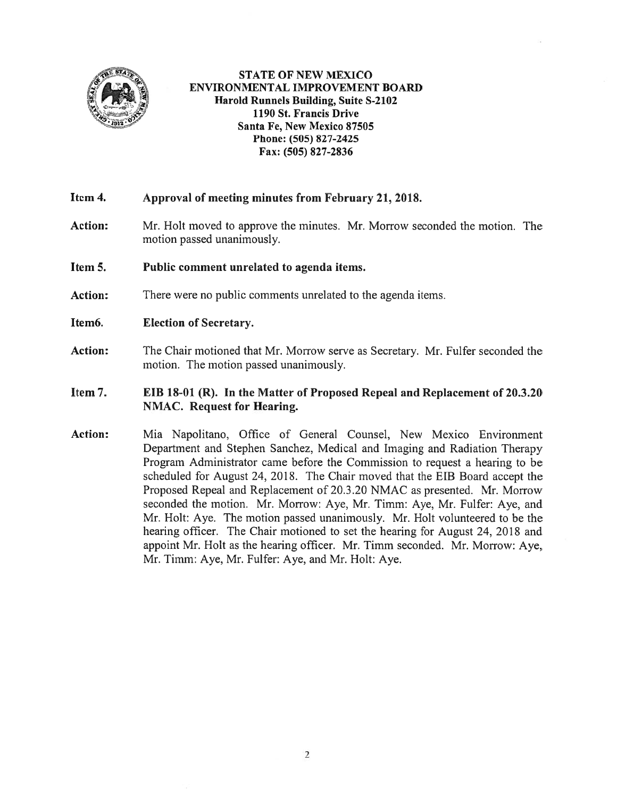

STATE OF NEW MEXICO ENVIRONMENTAL IMPROVEMENT BOARD Harold Runnels Building, Suite S-2102 1190 St. Francis Drive Santa Fe, New Mexico 87505 Phone: (505) 827-2425 Fax: (505) 827-2836

## Item 4. Approval of meeting minutes from February 21, 2018.

- Action: Mr. Holt moved to approve the minutes. Mr. Morrow seconded the motion. The motion passed unanimously.
- Item 5. Public comment unrelated to agenda items.
- Action: There were no public comments unrelated to the agenda items.
- Item6. Election of Secretary.
- Action: The Chair motioned that Mr. Morrow serve as Secretary. Mr. Fulfer seconded the motion. The motion passed unanimously.

### Item 7. EIB 18-01 (R). In the Matter of Proposed Repeal and Replacement of 20.3.20 NMAC. Request for Hearing.

Action: Mia Napolitano, Office of General Counsel, New Mexico Environment Department and Stephen Sanchez, Medical and Imaging and Radiation Therapy Program Administrator came before the Commission to reques<sup>t</sup> <sup>a</sup> hearing to be scheduled for August 24, 2018. The Chair moved that the EIB Board accep<sup>t</sup> the Proposed Repeal and Replacement of 20.3.20 NMAC as presented. Mr. Morrow seconded the motion. Mr. Morrow: Aye, Mr. Timm: Aye, Mr. Fulfer: Aye, and Mr. Holt: Aye. The motion passed unanimously. Mr. Holt volunteered to be the hearing officer. The Chair motioned to set the hearing for August 24, 2018 and appoint Mr. Holt as the hearing officer. Mr. Timm seconded. Mr. Morrow: Aye, Mr. Timm: Aye, Mr. Fulfer: Aye, and Mr. Holt: Aye.